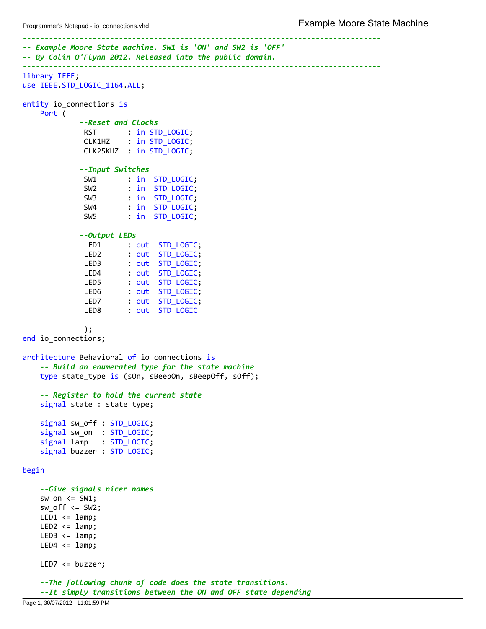```
‐‐‐‐‐‐‐‐‐‐‐‐‐‐‐‐‐‐‐‐‐‐‐‐‐‐‐‐‐‐‐‐‐‐‐‐‐‐‐‐‐‐‐‐‐‐‐‐‐‐‐‐‐‐‐‐‐‐‐‐‐‐‐‐‐‐‐‐‐‐‐‐‐‐‐‐‐‐‐‐‐‐
‐‐ Example Moore State machine. SW1 is 'ON' and SW2 is 'OFF'
‐‐ By Colin O'Flynn 2012. Released into the public domain.
‐‐‐‐‐‐‐‐‐‐‐‐‐‐‐‐‐‐‐‐‐‐‐‐‐‐‐‐‐‐‐‐‐‐‐‐‐‐‐‐‐‐‐‐‐‐‐‐‐‐‐‐‐‐‐‐‐‐‐‐‐‐‐‐‐‐‐‐‐‐‐‐‐‐‐‐‐‐‐‐‐‐
library IEEE;
use IEEE.STD LOGIC 1164.ALL;
entity io_connections is
    Port (
             ‐‐Reset and Clocks
              RST : in STD_LOGIC;<br>CLK1HZ : in STD_LOGIC;
                       : in STD_LOGIC;
              CLK25KHZ : in STD_LOGIC;
             ‐‐Input Switches
              SW1 : in STD_LOGIC;
              SW2 : in STD_LOGIC;
              SW3 : in STD_LOGIC;
              SW4 : in STD LOGIC;
              SW5 : in STD_LOGIC;
             ‐‐Output LEDs
              LED1 : out STD LOGIC;
              LED2 : out STD_LOGIC;
              LED3 : out STD_LOGIC;
              LED4 : out STD_LOGIC;
              LED5 : out STD LOGIC;
              LED6 : out STD_LOGIC;
              LED7 : out STD_LOGIC;
              LED8 : out STD_LOGIC
              );
end io_connections;
architecture Behavioral of io connections is
    ‐‐ Build an enumerated type for the state machine
    type state_type is (sOn, sBeepOn, sBeepOff, sOff);
    ‐‐ Register to hold the current state
    signal state : state type;
    signal sw_off : STD_LOGIC;
    signal sw_on : STD_LOGIC;
    signal lamp : STD LOGIC;
    signal buzzer : STD_LOGIC;
begin
    ‐‐Give signals nicer names
    sw\_on \leq SW1;sw_off <= SW2;
   LED1 \leq \text{lamp};
   LED2 \leq 1amp;
    LED3 \leq \text{lamp};LED4 \leq \text{lamp};
   LED7 <= buzzer;
    ‐‐The following chunk of code does the state transitions.
    ‐‐It simply transitions between the ON and OFF state depending
```